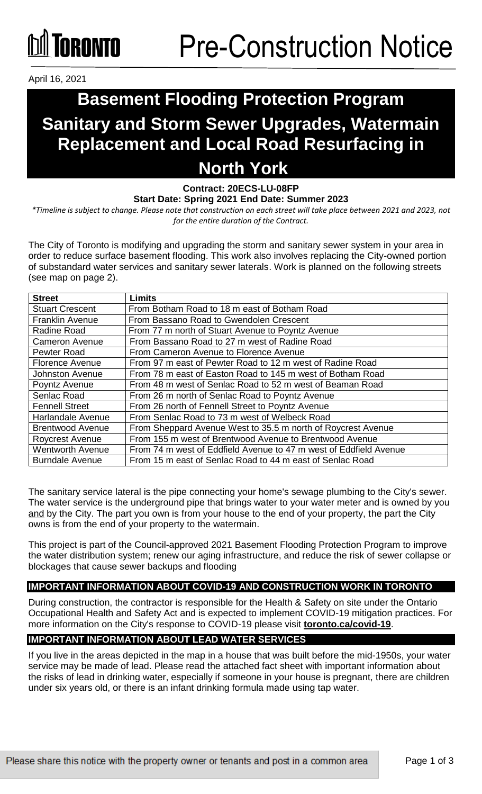## **ÍNRANTA**

April 16, 2021

### **Basement Flooding Protection Program Sanitary and Storm Sewer Upgrades, Watermain Replacement and Local Road Resurfacing in North York**

#### **Contract: 20ECS-LU-08FP Start Date: Spring 2021 End Date: Summer 2023**

*\*Timeline is subject to change. Please note that construction on each street will take place between 2021 and 2023, not for the entire duration of the Contract.* 

The City of Toronto is modifying and upgrading the storm and sanitary sewer system in your area in order to reduce surface basement flooding. This work also involves replacing the City-owned portion of substandard water services and sanitary sewer laterals. Work is planned on the following streets (see map on page 2).

| <b>Street</b>           | <b>Limits</b>                                                     |
|-------------------------|-------------------------------------------------------------------|
| <b>Stuart Crescent</b>  | From Botham Road to 18 m east of Botham Road                      |
| <b>Franklin Avenue</b>  | From Bassano Road to Gwendolen Crescent                           |
| Radine Road             | From 77 m north of Stuart Avenue to Poyntz Avenue                 |
| <b>Cameron Avenue</b>   | From Bassano Road to 27 m west of Radine Road                     |
| Pewter Road             | From Cameron Avenue to Florence Avenue                            |
| <b>Florence Avenue</b>  | From 97 m east of Pewter Road to 12 m west of Radine Road         |
| <b>Johnston Avenue</b>  | From 78 m east of Easton Road to 145 m west of Botham Road        |
| Poyntz Avenue           | From 48 m west of Senlac Road to 52 m west of Beaman Road         |
| Senlac Road             | From 26 m north of Senlac Road to Poyntz Avenue                   |
| <b>Fennell Street</b>   | From 26 north of Fennell Street to Poyntz Avenue                  |
| Harlandale Avenue       | From Senlac Road to 73 m west of Welbeck Road                     |
| <b>Brentwood Avenue</b> | From Sheppard Avenue West to 35.5 m north of Roycrest Avenue      |
| <b>Roycrest Avenue</b>  | From 155 m west of Brentwood Avenue to Brentwood Avenue           |
| <b>Wentworth Avenue</b> | From 74 m west of Eddfield Avenue to 47 m west of Eddfield Avenue |
| <b>Burndale Avenue</b>  | From 15 m east of Senlac Road to 44 m east of Senlac Road         |

The sanitary service lateral is the pipe connecting your home's sewage plumbing to the City's sewer. The water service is the underground pipe that brings water to your water meter and is owned by you and by the City. The part you own is from your house to the end of your property, the part the City owns is from the end of your property to the watermain.

This project is part of the Council-approved 2021 Basement Flooding Protection Program to improve the water distribution system; renew our aging infrastructure, and reduce the risk of sewer collapse or blockages that cause sewer backups and flooding

#### **IMPORTANT INFORMATION ABOUT COVID-19 AND CONSTRUCTION WORK IN TORONTO**

During construction, the contractor is responsible for the Health & Safety on site under the Ontario Occupational Health and Safety Act and is expected to implement COVID-19 mitigation practices. For more information on the City's response to COVID-19 please visit **[toronto.ca/covid-19](http://www.toronto.ca/covid-19)**.

### **IMPORTANT INFORMATION ABOUT LEAD WATER SERVICES**

If you live in the areas depicted in the map in a house that was built before the mid-1950s, your water service may be made of lead. Please read the attached fact sheet with important information about the risks of lead in drinking water, especially if someone in your house is pregnant, there are children under six years old, or there is an infant drinking formula made using tap water.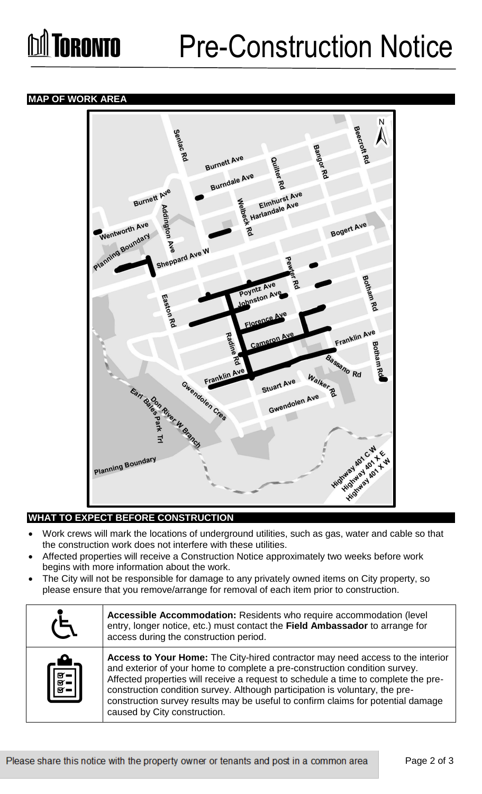# **M** TORONTO

## Pre-Construction Notice

#### **MAP OF WORK AREA**



### **WHAT TO EXPECT BEFORE CONSTRUCTION**

- Work crews will mark the locations of underground utilities, such as gas, water and cable so that the construction work does not interfere with these utilities.
- Affected properties will receive a Construction Notice approximately two weeks before work begins with more information about the work.
- The City will not be responsible for damage to any privately owned items on City property, so please ensure that you remove/arrange for removal of each item prior to construction.

| $\zeta$                                                                                                                                                                          | Accessible Accommodation: Residents who require accommodation (level<br>entry, longer notice, etc.) must contact the Field Ambassador to arrange for<br>access during the construction period.                                                                                                                                                                                                                                                         |
|----------------------------------------------------------------------------------------------------------------------------------------------------------------------------------|--------------------------------------------------------------------------------------------------------------------------------------------------------------------------------------------------------------------------------------------------------------------------------------------------------------------------------------------------------------------------------------------------------------------------------------------------------|
| $\begin{bmatrix} \begin{matrix} \begin{matrix} 0 \\ 0 \\ 0 \\ -1 \end{matrix} \end{bmatrix} \\ \hline \begin{matrix} 0 \\ 0 \\ 0 \\ -1 \end{matrix} \end{bmatrix} \end{bmatrix}$ | Access to Your Home: The City-hired contractor may need access to the interior<br>and exterior of your home to complete a pre-construction condition survey.<br>Affected properties will receive a request to schedule a time to complete the pre-<br>construction condition survey. Although participation is voluntary, the pre-<br>construction survey results may be useful to confirm claims for potential damage<br>caused by City construction. |